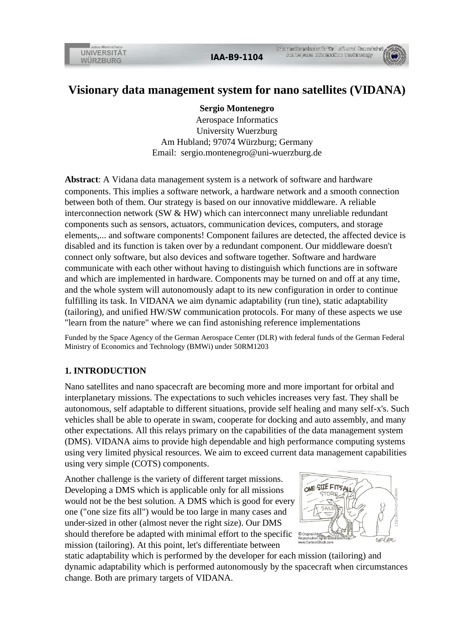# **Visionary data management system for nano satellites (VIDANA)**

**Sergio Montenegro**

Aerospace Informatics University Wuerzburg Am Hubland; 97074 Würzburg; Germany Email: sergio.montenegro@uni-wuerzburg.de

**Abstract**: A Vidana data management system is a network of software and hardware components. This implies a software network, a hardware network and a smooth connection between both of them. Our strategy is based on our innovative middleware. A reliable interconnection network (SW & HW) which can interconnect many unreliable redundant components such as sensors, actuators, communication devices, computers, and storage elements,... and software components! Component failures are detected, the affected device is disabled and its function is taken over by a redundant component. Our middleware doesn't connect only software, but also devices and software together. Software and hardware communicate with each other without having to distinguish which functions are in software and which are implemented in hardware. Components may be turned on and off at any time, and the whole system will autonomously adapt to its new configuration in order to continue fulfilling its task. In VIDANA we aim dynamic adaptability (run tine), static adaptability (tailoring), and unified HW/SW communication protocols. For many of these aspects we use "learn from the nature" where we can find astonishing reference implementations

Funded by the Space Agency of the German Aerospace Center (DLR) with federal funds of the German Federal Ministry of Economics and Technology (BMWi) under 50RM1203

### **1. INTRODUCTION**

Nano satellites and nano spacecraft are becoming more and more important for orbital and interplanetary missions. The expectations to such vehicles increases very fast. They shall be autonomous, self adaptable to different situations, provide self healing and many self-x's. Such vehicles shall be able to operate in swam, cooperate for docking and auto assembly, and many other expectations. All this relays primary on the capabilities of the data management system (DMS). VIDANA aims to provide high dependable and high performance computing systems using very limited physical resources. We aim to exceed current data management capabilities using very simple (COTS) components.

Another challenge is the variety of different target missions. Developing a DMS which is applicable only for all missions would not be the best solution. A DMS which is good for every one ("one size fits all") would be too large in many cases and under-sized in other (almost never the right size). Our DMS should therefore be adapted with minimal effort to the specific mission (tailoring). At this point, let's differentiate between



static adaptability which is performed by the developer for each mission (tailoring) and dynamic adaptability which is performed autonomously by the spacecraft when circumstances change. Both are primary targets of VIDANA.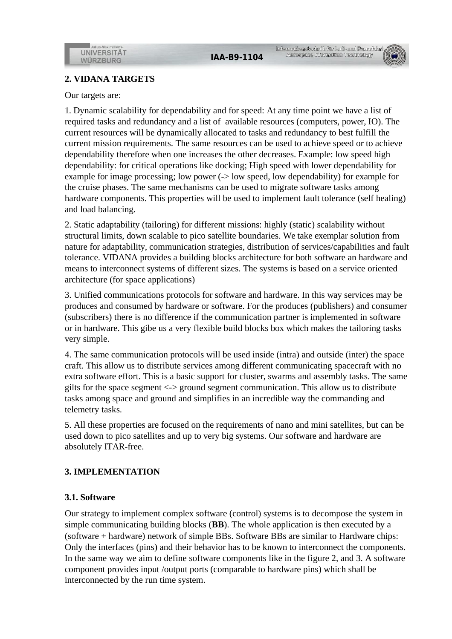#### **2. VIDANA TARGETS**

Our targets are:

1. Dynamic scalability for dependability and for speed: At any time point we have a list of required tasks and redundancy and a list of available resources (computers, power, IO). The current resources will be dynamically allocated to tasks and redundancy to best fulfill the current mission requirements. The same resources can be used to achieve speed or to achieve dependability therefore when one increases the other decreases. Example: low speed high dependability: for critical operations like docking; High speed with lower dependability for example for image processing; low power (-> low speed, low dependability) for example for the cruise phases. The same mechanisms can be used to migrate software tasks among hardware components. This properties will be used to implement fault tolerance (self healing) and load balancing.

2. Static adaptability (tailoring) for different missions: highly (static) scalability without structural limits, down scalable to pico satellite boundaries. We take exemplar solution from nature for adaptability, communication strategies, distribution of services/capabilities and fault tolerance. VIDANA provides a building blocks architecture for both software an hardware and means to interconnect systems of different sizes. The systems is based on a service oriented architecture (for space applications)

3. Unified communications protocols for software and hardware. In this way services may be produces and consumed by hardware or software. For the produces (publishers) and consumer (subscribers) there is no difference if the communication partner is implemented in software or in hardware. This gibe us a very flexible build blocks box which makes the tailoring tasks very simple.

4. The same communication protocols will be used inside (intra) and outside (inter) the space craft. This allow us to distribute services among different communicating spacecraft with no extra software effort. This is a basic support for cluster, swarms and assembly tasks. The same gilts for the space segment  $\langle \rangle$  ground segment communication. This allow us to distribute tasks among space and ground and simplifies in an incredible way the commanding and telemetry tasks.

5. All these properties are focused on the requirements of nano and mini satellites, but can be used down to pico satellites and up to very big systems. Our software and hardware are absolutely ITAR-free.

#### **3. IMPLEMENTATION**

#### **3.1. Software**

Our strategy to implement complex software (control) systems is to decompose the system in simple communicating building blocks (**BB**). The whole application is then executed by a (software + hardware) network of simple BBs. Software BBs are similar to Hardware chips: Only the interfaces (pins) and their behavior has to be known to interconnect the components. In the same way we aim to define software components like in the figure 2, and 3. A software component provides input /output ports (comparable to hardware pins) which shall be interconnected by the run time system.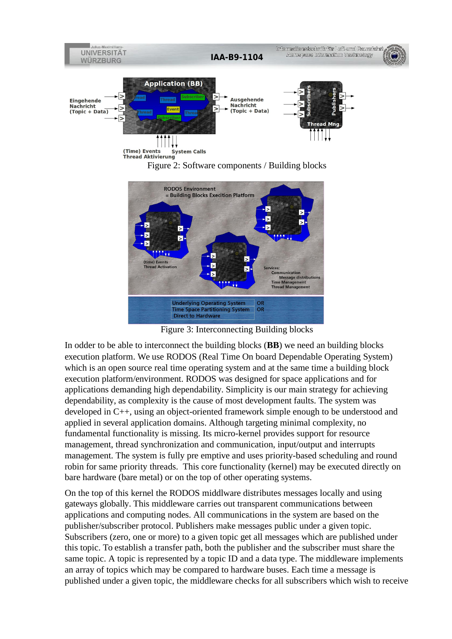



Figure 3: Interconnecting Building blocks

In odder to be able to interconnect the building blocks (**BB**) we need an building blocks execution platform. We use RODOS (Real Time On board Dependable Operating System) which is an open source real time operating system and at the same time a building block execution platform/environment. RODOS was designed for space applications and for applications demanding high dependability. Simplicity is our main strategy for achieving dependability, as complexity is the cause of most development faults. The system was developed in C++, using an object-oriented framework simple enough to be understood and applied in several application domains. Although targeting minimal complexity, no fundamental functionality is missing. Its micro-kernel provides support for resource management, thread synchronization and communication, input/output and interrupts management. The system is fully pre emptive and uses priority-based scheduling and round robin for same priority threads. This core functionality (kernel) may be executed directly on bare hardware (bare metal) or on the top of other operating systems.

On the top of this kernel the RODOS middlware distributes messages locally and using gateways globally. This middleware carries out transparent communications between applications and computing nodes. All communications in the system are based on the publisher/subscriber protocol. Publishers make messages public under a given topic. Subscribers (zero, one or more) to a given topic get all messages which are published under this topic. To establish a transfer path, both the publisher and the subscriber must share the same topic. A topic is represented by a topic ID and a data type. The middleware implements an array of topics which may be compared to hardware buses. Each time a message is published under a given topic, the middleware checks for all subscribers which wish to receive